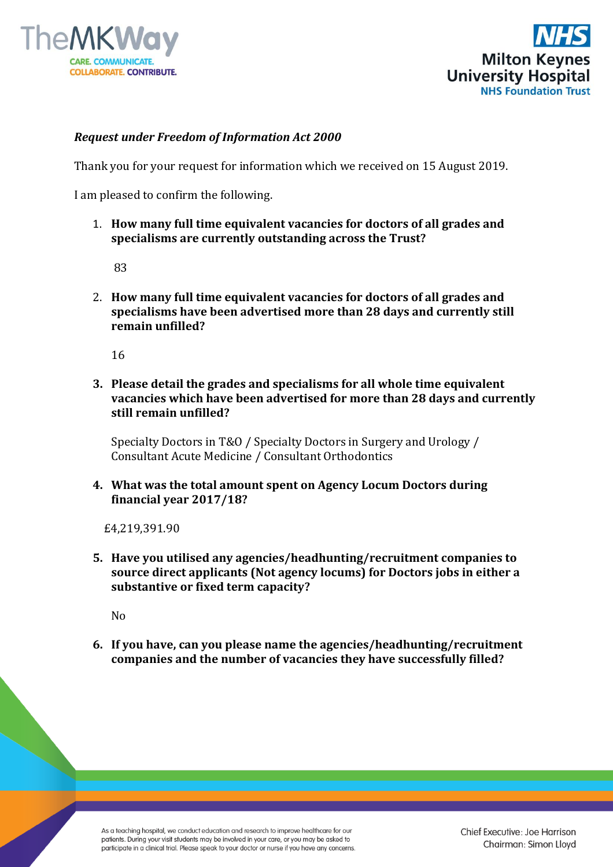



## *Request under Freedom of Information Act 2000*

Thank you for your request for information which we received on 15 August 2019.

I am pleased to confirm the following.

1. **How many full time equivalent vacancies for doctors of all grades and specialisms are currently outstanding across the Trust?**

83

2. **How many full time equivalent vacancies for doctors of all grades and specialisms have been advertised more than 28 days and currently still remain unfilled?** 

16

**3. Please detail the grades and specialisms for all whole time equivalent vacancies which have been advertised for more than 28 days and currently still remain unfilled?** 

Specialty Doctors in T&O / Specialty Doctors in Surgery and Urology / Consultant Acute Medicine / Consultant Orthodontics

**4. What was the total amount spent on Agency Locum Doctors during financial year 2017/18?**

£4,219,391.90

**5. Have you utilised any agencies/headhunting/recruitment companies to source direct applicants (Not agency locums) for Doctors jobs in either a substantive or fixed term capacity?** 

No

**6. If you have, can you please name the agencies/headhunting/recruitment companies and the number of vacancies they have successfully filled?** 

As a teaching hospital, we conduct education and research to improve healthcare for our patients. During your visit students may be involved in your care, or you may be asked to participate in a clinical trial. Please speak to your doctor or nurse if you have any concerns. Chief Executive: Joe Harrison Chairman: Simon Lloyd